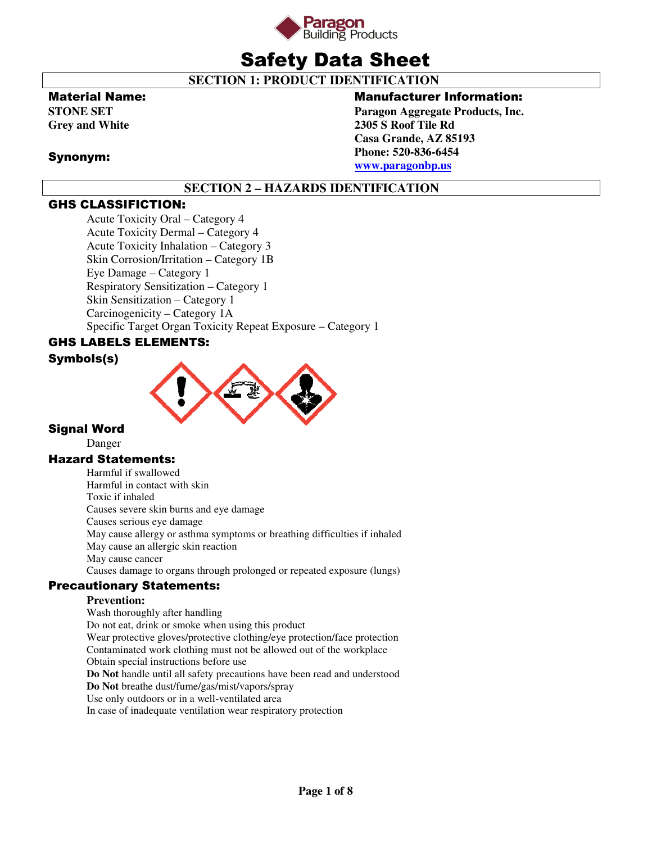

# Safety Data Sheet

 **SECTION 1: PRODUCT IDENTIFICATION** 

### Material Name:

**STONE SET Grey and White** 

### Synonym:

### Manufacturer Information:

**Paragon Aggregate Products, Inc. 2305 S Roof Tile Rd Casa Grande, AZ 85193 Phone: 520-836-6454 www.paragonbp.us**

# **SECTION 2 – HAZARDS IDENTIFICATION**

# GHS CLASSIFICTION:

Acute Toxicity Oral – Category 4 Acute Toxicity Dermal – Category 4 Acute Toxicity Inhalation – Category 3 Skin Corrosion/Irritation – Category 1B Eye Damage – Category 1 Respiratory Sensitization – Category 1 Skin Sensitization – Category 1 Carcinogenicity – Category 1A Specific Target Organ Toxicity Repeat Exposure – Category 1

# GHS LABELS ELEMENTS:

### Symbols(s)



### Signal Word

Danger

### Hazard Statements:

Harmful if swallowed Harmful in contact with skin Toxic if inhaled Causes severe skin burns and eye damage Causes serious eye damage May cause allergy or asthma symptoms or breathing difficulties if inhaled May cause an allergic skin reaction May cause cancer Causes damage to organs through prolonged or repeated exposure (lungs)

### Precautionary Statements:

### **Prevention:**

Wash thoroughly after handling Do not eat, drink or smoke when using this product Wear protective gloves/protective clothing/eye protection/face protection Contaminated work clothing must not be allowed out of the workplace Obtain special instructions before use **Do Not** handle until all safety precautions have been read and understood **Do Not** breathe dust/fume/gas/mist/vapors/spray Use only outdoors or in a well-ventilated area In case of inadequate ventilation wear respiratory protection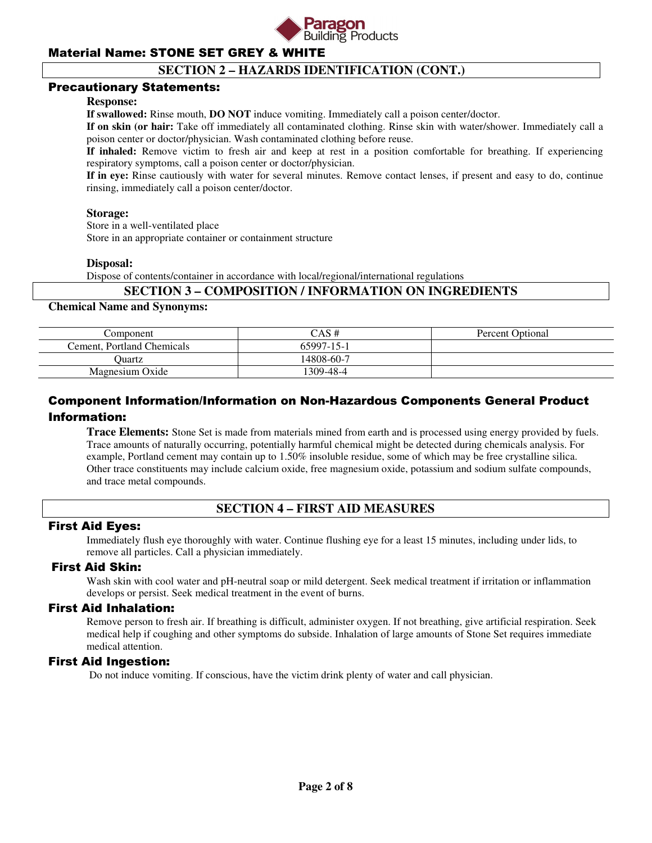

### **SECTION 2 – HAZARDS IDENTIFICATION (CONT.)**

### Precautionary Statements:

#### **Response:**

**If swallowed:** Rinse mouth, **DO NOT** induce vomiting. Immediately call a poison center/doctor.

**If on skin (or hair:** Take off immediately all contaminated clothing. Rinse skin with water/shower. Immediately call a poison center or doctor/physician. Wash contaminated clothing before reuse.

**If inhaled:** Remove victim to fresh air and keep at rest in a position comfortable for breathing. If experiencing respiratory symptoms, call a poison center or doctor/physician.

**If in eye:** Rinse cautiously with water for several minutes. Remove contact lenses, if present and easy to do, continue rinsing, immediately call a poison center/doctor.

#### **Storage:**

 Store in a well-ventilated place Store in an appropriate container or containment structure

### **Disposal:**

Dispose of contents/container in accordance with local/regional/international regulations

### **SECTION 3 – COMPOSITION / INFORMATION ON INGREDIENTS**

#### **Chemical Name and Synonyms:**

| Component                  | CAS #      | Percent Optional |
|----------------------------|------------|------------------|
| Cement, Portland Chemicals | 65997-15-1 |                  |
| <b>Duartz</b>              | 14808-60-7 |                  |
| Magnesium Oxide            | 309-48-4   |                  |

# Component Information/Information on Non-Hazardous Components General Product Information:

**Trace Elements:** Stone Set is made from materials mined from earth and is processed using energy provided by fuels. Trace amounts of naturally occurring, potentially harmful chemical might be detected during chemicals analysis. For example, Portland cement may contain up to 1.50% insoluble residue, some of which may be free crystalline silica. Other trace constituents may include calcium oxide, free magnesium oxide, potassium and sodium sulfate compounds, and trace metal compounds.

### **SECTION 4 – FIRST AID MEASURES**

### First Aid Eyes:

Immediately flush eye thoroughly with water. Continue flushing eye for a least 15 minutes, including under lids, to remove all particles. Call a physician immediately.

### First Aid Skin:

Wash skin with cool water and pH-neutral soap or mild detergent. Seek medical treatment if irritation or inflammation develops or persist. Seek medical treatment in the event of burns.

### First Aid Inhalation:

Remove person to fresh air. If breathing is difficult, administer oxygen. If not breathing, give artificial respiration. Seek medical help if coughing and other symptoms do subside. Inhalation of large amounts of Stone Set requires immediate medical attention.

### First Aid Ingestion:

Do not induce vomiting. If conscious, have the victim drink plenty of water and call physician.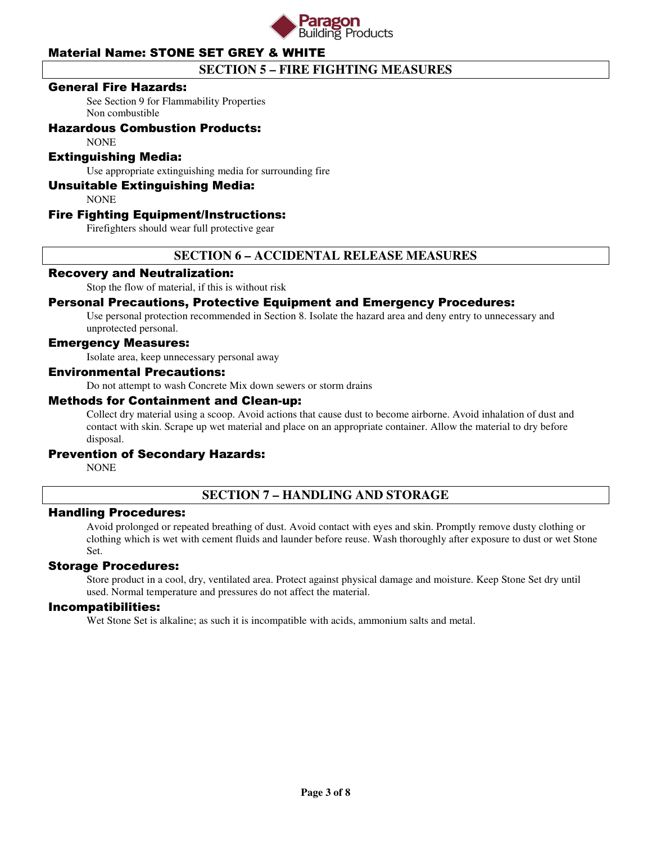

# **SECTION 5 – FIRE FIGHTING MEASURES**

### General Fire Hazards:

See Section 9 for Flammability Properties Non combustible

### Hazardous Combustion Products:

**NONE** 

### Extinguishing Media:

Use appropriate extinguishing media for surrounding fire

### Unsuitable Extinguishing Media:

**NONE** 

### Fire Fighting Equipment/Instructions:

Firefighters should wear full protective gear

### **SECTION 6 – ACCIDENTAL RELEASE MEASURES**

### Recovery and Neutralization:

Stop the flow of material, if this is without risk

### Personal Precautions, Protective Equipment and Emergency Procedures:

Use personal protection recommended in Section 8. Isolate the hazard area and deny entry to unnecessary and unprotected personal.

### Emergency Measures:

Isolate area, keep unnecessary personal away

### Environmental Precautions:

Do not attempt to wash Concrete Mix down sewers or storm drains

#### Methods for Containment and Clean-up:

Collect dry material using a scoop. Avoid actions that cause dust to become airborne. Avoid inhalation of dust and contact with skin. Scrape up wet material and place on an appropriate container. Allow the material to dry before disposal.

### Prevention of Secondary Hazards:

**NONE** 

### **SECTION 7 – HANDLING AND STORAGE**

### Handling Procedures:

Avoid prolonged or repeated breathing of dust. Avoid contact with eyes and skin. Promptly remove dusty clothing or clothing which is wet with cement fluids and launder before reuse. Wash thoroughly after exposure to dust or wet Stone Set.

### Storage Procedures:

Store product in a cool, dry, ventilated area. Protect against physical damage and moisture. Keep Stone Set dry until used. Normal temperature and pressures do not affect the material.

#### Incompatibilities:

Wet Stone Set is alkaline; as such it is incompatible with acids, ammonium salts and metal.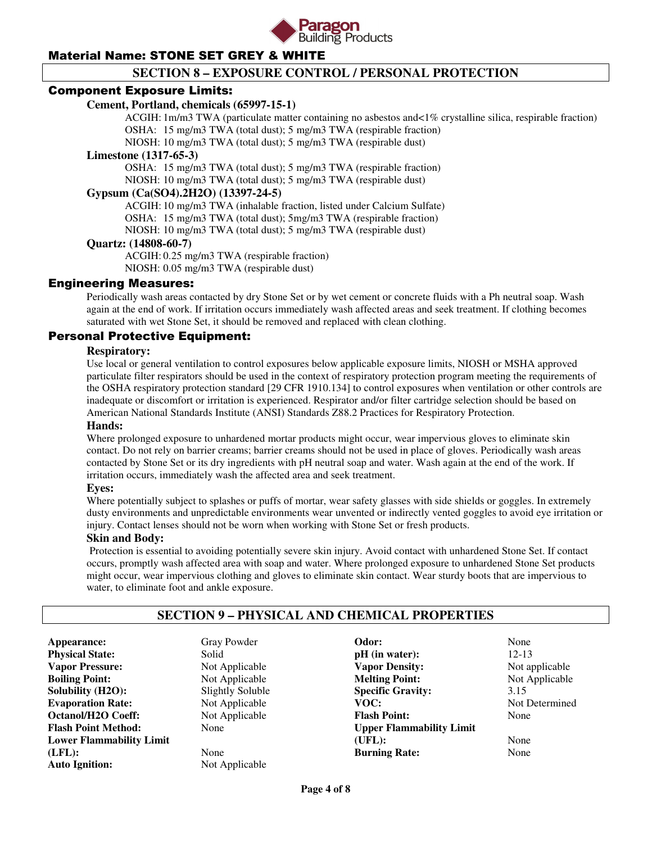

# **SECTION 8 – EXPOSURE CONTROL / PERSONAL PROTECTION**

### Component Exposure Limits:

### **Cement, Portland, chemicals (65997-15-1)**

 ACGIH: 1m/m3 TWA (particulate matter containing no asbestos and<1% crystalline silica, respirable fraction) OSHA: 15 mg/m3 TWA (total dust); 5 mg/m3 TWA (respirable fraction)

NIOSH: 10 mg/m3 TWA (total dust); 5 mg/m3 TWA (respirable dust)

#### **Limestone (1317-65-3)**

 OSHA: 15 mg/m3 TWA (total dust); 5 mg/m3 TWA (respirable fraction) NIOSH: 10 mg/m3 TWA (total dust); 5 mg/m3 TWA (respirable dust)

### **Gypsum (Ca(SO4).2H2O) (13397-24-5)**

 ACGIH: 10 mg/m3 TWA (inhalable fraction, listed under Calcium Sulfate) OSHA: 15 mg/m3 TWA (total dust); 5mg/m3 TWA (respirable fraction) NIOSH: 10 mg/m3 TWA (total dust); 5 mg/m3 TWA (respirable dust)

### **Quartz: (14808-60-7)**

 ACGIH: 0.25 mg/m3 TWA (respirable fraction) NIOSH: 0.05 mg/m3 TWA (respirable dust)

### Engineering Measures:

Periodically wash areas contacted by dry Stone Set or by wet cement or concrete fluids with a Ph neutral soap. Wash again at the end of work. If irritation occurs immediately wash affected areas and seek treatment. If clothing becomes saturated with wet Stone Set, it should be removed and replaced with clean clothing.

### Personal Protective Equipment:

### **Respiratory:**

Use local or general ventilation to control exposures below applicable exposure limits, NIOSH or MSHA approved particulate filter respirators should be used in the context of respiratory protection program meeting the requirements of the OSHA respiratory protection standard [29 CFR 1910.134] to control exposures when ventilation or other controls are inadequate or discomfort or irritation is experienced. Respirator and/or filter cartridge selection should be based on American National Standards Institute (ANSI) Standards Z88.2 Practices for Respiratory Protection.

### **Hands:**

Where prolonged exposure to unhardened mortar products might occur, wear impervious gloves to eliminate skin contact. Do not rely on barrier creams; barrier creams should not be used in place of gloves. Periodically wash areas contacted by Stone Set or its dry ingredients with pH neutral soap and water. Wash again at the end of the work. If irritation occurs, immediately wash the affected area and seek treatment.

#### **Eyes:**

Where potentially subject to splashes or puffs of mortar, wear safety glasses with side shields or goggles. In extremely dusty environments and unpredictable environments wear unvented or indirectly vented goggles to avoid eye irritation or injury. Contact lenses should not be worn when working with Stone Set or fresh products.

#### **Skin and Body:**

Protection is essential to avoiding potentially severe skin injury. Avoid contact with unhardened Stone Set. If contact occurs, promptly wash affected area with soap and water. Where prolonged exposure to unhardened Stone Set products might occur, wear impervious clothing and gloves to eliminate skin contact. Wear sturdy boots that are impervious to water, to eliminate foot and ankle exposure.

### **SECTION 9 – PHYSICAL AND CHEMICAL PROPERTIES**

**Appearance:** Gray Powder **Physical State:** Solid **Vapor Pressure:** Not Applicable **Boiling Point:** Not Applicable **Solubility (H2O):** Slightly Soluble **Evaporation Rate:** Not Applicable **Octanol/H2O Coeff:** Not Applicable **Flash Point Method:** None **Lower Flammability Limit (LFL):** None **Auto Ignition:** Not Applicable

**Odor:** None **pH** (in water): 12-13 **Vapor Density:** Not applicable **Melting Point:** Not Applicable **Specific Gravity:** 3.15<br> **VOC:** Not 1 **Flash Point:** None **Upper Flammability Limit (UFL):** None **Burning Rate:** None

**Not Determined**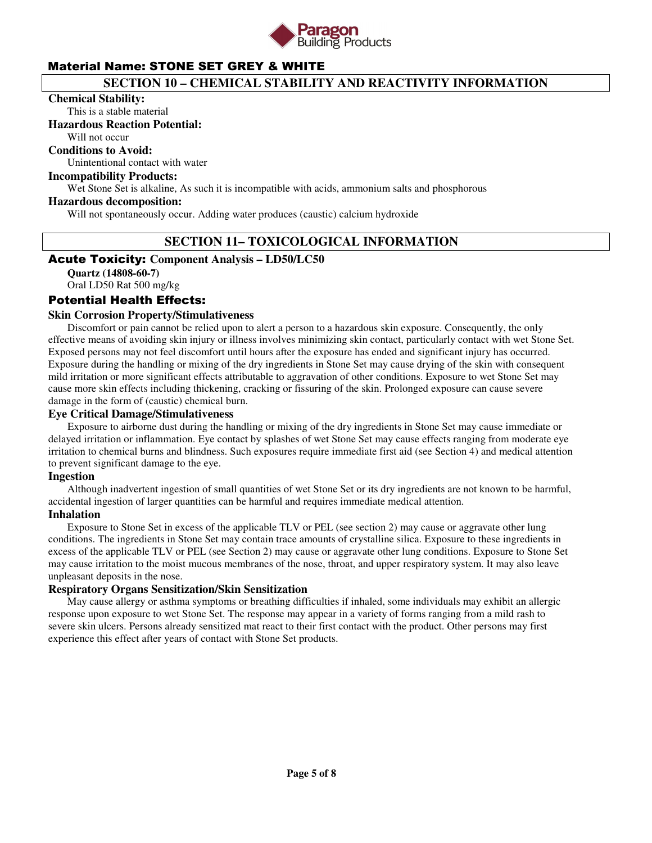

# **SECTION 10 – CHEMICAL STABILITY AND REACTIVITY INFORMATION**

#### **Chemical Stability:**

This is a stable material

### **Hazardous Reaction Potential:**

Will not occur

### **Conditions to Avoid:**

Unintentional contact with water

### **Incompatibility Products:**

Wet Stone Set is alkaline, As such it is incompatible with acids, ammonium salts and phosphorous

#### **Hazardous decomposition:**

Will not spontaneously occur. Adding water produces (caustic) calcium hydroxide

### **SECTION 11– TOXICOLOGICAL INFORMATION**

### Acute Toxicity: **Component Analysis – LD50/LC50**

**Quartz (14808-60-7)**  Oral LD50 Rat 500 mg/kg

### Potential Health Effects:

### **Skin Corrosion Property/Stimulativeness**

 Discomfort or pain cannot be relied upon to alert a person to a hazardous skin exposure. Consequently, the only effective means of avoiding skin injury or illness involves minimizing skin contact, particularly contact with wet Stone Set. Exposed persons may not feel discomfort until hours after the exposure has ended and significant injury has occurred. Exposure during the handling or mixing of the dry ingredients in Stone Set may cause drying of the skin with consequent mild irritation or more significant effects attributable to aggravation of other conditions. Exposure to wet Stone Set may cause more skin effects including thickening, cracking or fissuring of the skin. Prolonged exposure can cause severe damage in the form of (caustic) chemical burn.

#### **Eye Critical Damage/Stimulativeness**

 Exposure to airborne dust during the handling or mixing of the dry ingredients in Stone Set may cause immediate or delayed irritation or inflammation. Eye contact by splashes of wet Stone Set may cause effects ranging from moderate eye irritation to chemical burns and blindness. Such exposures require immediate first aid (see Section 4) and medical attention to prevent significant damage to the eye.

#### **Ingestion**

 Although inadvertent ingestion of small quantities of wet Stone Set or its dry ingredients are not known to be harmful, accidental ingestion of larger quantities can be harmful and requires immediate medical attention.

#### **Inhalation**

 Exposure to Stone Set in excess of the applicable TLV or PEL (see section 2) may cause or aggravate other lung conditions. The ingredients in Stone Set may contain trace amounts of crystalline silica. Exposure to these ingredients in excess of the applicable TLV or PEL (see Section 2) may cause or aggravate other lung conditions. Exposure to Stone Set may cause irritation to the moist mucous membranes of the nose, throat, and upper respiratory system. It may also leave unpleasant deposits in the nose.

#### **Respiratory Organs Sensitization/Skin Sensitization**

 May cause allergy or asthma symptoms or breathing difficulties if inhaled, some individuals may exhibit an allergic response upon exposure to wet Stone Set. The response may appear in a variety of forms ranging from a mild rash to severe skin ulcers. Persons already sensitized mat react to their first contact with the product. Other persons may first experience this effect after years of contact with Stone Set products.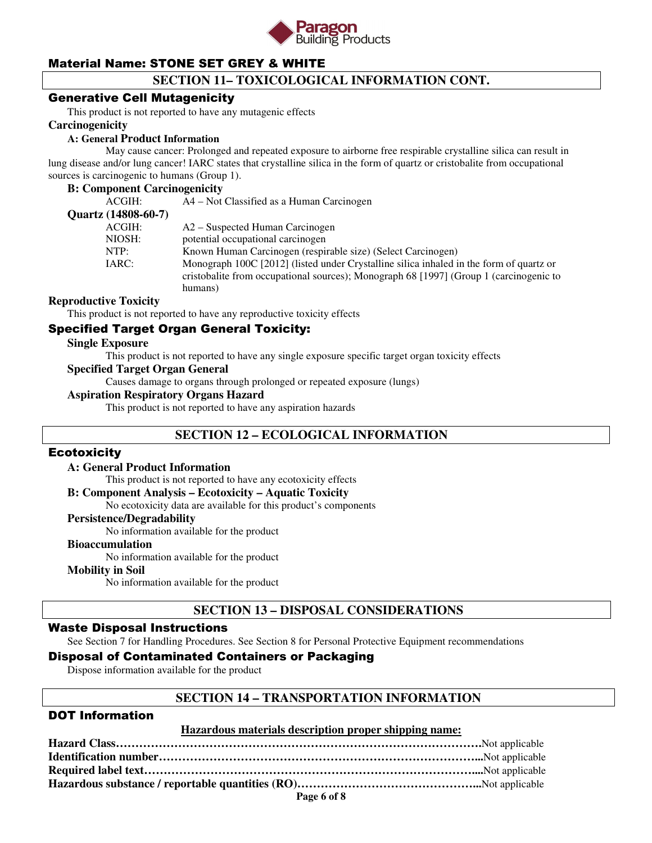

# **SECTION 11– TOXICOLOGICAL INFORMATION CONT.**

### Generative Cell Mutagenicity

This product is not reported to have any mutagenic effects

#### **Carcinogenicity**

#### **A: General Product Information**

May cause cancer: Prolonged and repeated exposure to airborne free respirable crystalline silica can result in lung disease and/or lung cancer! IARC states that crystalline silica in the form of quartz or cristobalite from occupational sources is carcinogenic to humans (Group 1).

#### **B: Component Carcinogenicity**

| ACGIH:              | A4 – Not Classified as a Human Carcinogen                                               |
|---------------------|-----------------------------------------------------------------------------------------|
| Quartz (14808-60-7) |                                                                                         |
| ACGIH:              | A2 – Suspected Human Carcinogen                                                         |
| NIOSH:              | potential occupational carcinogen                                                       |
| NTP:                | Known Human Carcinogen (respirable size) (Select Carcinogen)                            |
| IARC:               | Monograph 100C [2012] (listed under Crystalline silica inhaled in the form of quartz or |
|                     | cristobalite from occupational sources); Monograph 68 [1997] (Group 1 (carcinogenic to  |
|                     | humans)                                                                                 |
|                     |                                                                                         |

### **Reproductive Toxicity**

This product is not reported to have any reproductive toxicity effects

### Specified Target Organ General Toxicity:

#### **Single Exposure**

This product is not reported to have any single exposure specific target organ toxicity effects

#### **Specified Target Organ General**

Causes damage to organs through prolonged or repeated exposure (lungs)

### **Aspiration Respiratory Organs Hazard**

This product is not reported to have any aspiration hazards

### **SECTION 12 – ECOLOGICAL INFORMATION**

### **Ecotoxicity**

#### **A: General Product Information**

This product is not reported to have any ecotoxicity effects

#### **B: Component Analysis – Ecotoxicity – Aquatic Toxicity**

No ecotoxicity data are available for this product's components

### **Persistence/Degradability**

No information available for the product

#### **Bioaccumulation**

No information available for the product

### **Mobility in Soil**

No information available for the product

### **SECTION 13 – DISPOSAL CONSIDERATIONS**

### Waste Disposal Instructions

See Section 7 for Handling Procedures. See Section 8 for Personal Protective Equipment recommendations

### Disposal of Contaminated Containers or Packaging

Dispose information available for the product

### **SECTION 14 – TRANSPORTATION INFORMATION**

### DOT Information

#### **Hazardous materials description proper shipping name:**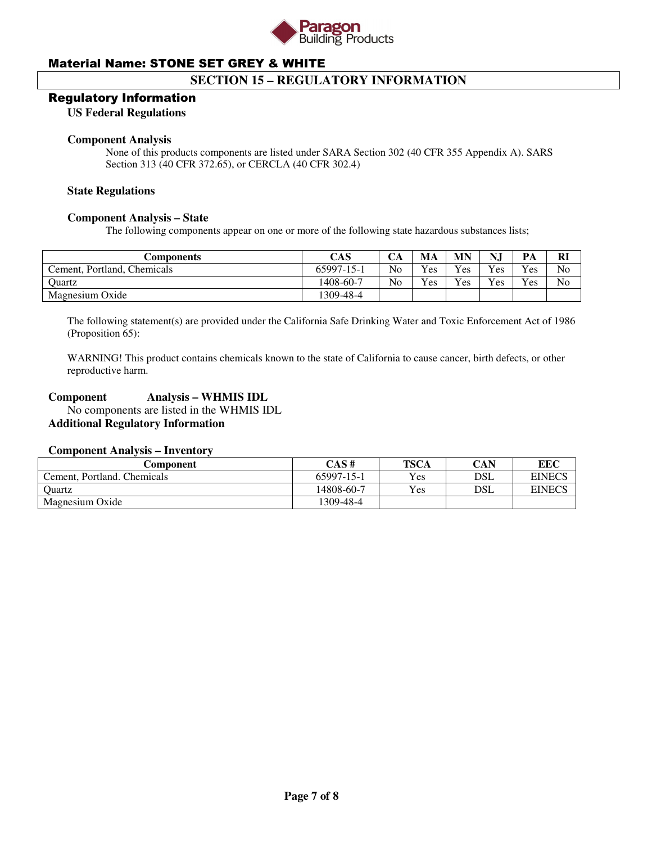

### **SECTION 15 – REGULATORY INFORMATION**

### Regulatory Information

#### **US Federal Regulations**

#### **Component Analysis**

None of this products components are listed under SARA Section 302 (40 CFR 355 Appendix A). SARS Section 313 (40 CFR 372.65), or CERCLA (40 CFR 302.4)

#### **State Regulations**

#### **Component Analysis – State**

The following components appear on one or more of the following state hazardous substances lists;

| Components                  | CAS        | CА             | MA  | MN  | N.J          | PА       | Rl |
|-----------------------------|------------|----------------|-----|-----|--------------|----------|----|
| Cement, Portland, Chemicals | 65997-15-1 | N <sub>o</sub> | Yes | Yes | $Y_{\rm CS}$ | $v_{es}$ | No |
| Ouartz                      | 1408-60-7  | N <sub>0</sub> | Yes | Yes | Yes          | $v_{es}$ | No |
| Magnesium Oxide             | 1309-48-4  |                |     |     |              |          |    |

The following statement(s) are provided under the California Safe Drinking Water and Toxic Enforcement Act of 1986 (Proposition 65):

WARNING! This product contains chemicals known to the state of California to cause cancer, birth defects, or other reproductive harm.

### **Component Analysis – WHMIS IDL**

 No components are listed in the WHMIS IDL **Additional Regulatory Information** 

### **Component Analysis – Inventory**

| Component                   | CAS#       | <b>TSCA</b> | CAN | EEC           |
|-----------------------------|------------|-------------|-----|---------------|
| Cement, Portland, Chemicals | 65997-15-1 | Yes         | DSL | <b>EINECS</b> |
| Ouartz                      | 14808-60-7 | Yes         | DSL | <b>EINECS</b> |
| Magnesium Oxide             | 1309-48-4  |             |     |               |